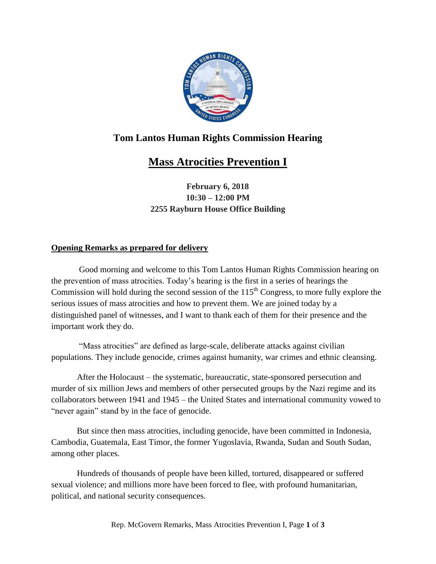

## **Tom Lantos Human Rights Commission Hearing**

## **Mass Atrocities Prevention I**

**February 6, 2018 10:30 – 12:00 PM 2255 Rayburn House Office Building**

## **Opening Remarks as prepared for delivery**

Good morning and welcome to this Tom Lantos Human Rights Commission hearing on the prevention of mass atrocities. Today's hearing is the first in a series of hearings the Commission will hold during the second session of the  $115<sup>th</sup>$  Congress, to more fully explore the serious issues of mass atrocities and how to prevent them. We are joined today by a distinguished panel of witnesses, and I want to thank each of them for their presence and the important work they do.

"Mass atrocities" are defined as large-scale, deliberate attacks against civilian populations. They include genocide, crimes against humanity, war crimes and ethnic cleansing.

After the Holocaust – the systematic, bureaucratic, state-sponsored persecution and murder of six million Jews and members of other persecuted groups by the Nazi regime and its collaborators between 1941 and 1945 – the United States and international community vowed to "never again" stand by in the face of genocide.

But since then mass atrocities, including genocide, have been committed in Indonesia, Cambodia, Guatemala, East Timor, the former Yugoslavia, Rwanda, Sudan and South Sudan, among other places.

Hundreds of thousands of people have been killed, tortured, disappeared or suffered sexual violence; and millions more have been forced to flee, with profound humanitarian, political, and national security consequences.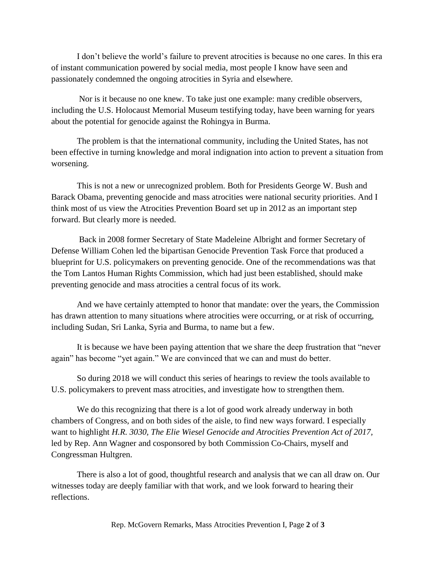I don't believe the world's failure to prevent atrocities is because no one cares. In this era of instant communication powered by social media, most people I know have seen and passionately condemned the ongoing atrocities in Syria and elsewhere.

Nor is it because no one knew. To take just one example: many credible observers, including the U.S. Holocaust Memorial Museum testifying today, have been warning for years about the potential for genocide against the Rohingya in Burma.

The problem is that the international community, including the United States, has not been effective in turning knowledge and moral indignation into action to prevent a situation from worsening.

This is not a new or unrecognized problem. Both for Presidents George W. Bush and Barack Obama, preventing genocide and mass atrocities were national security priorities. And I think most of us view the Atrocities Prevention Board set up in 2012 as an important step forward. But clearly more is needed.

Back in 2008 former Secretary of State Madeleine Albright and former Secretary of Defense William Cohen led the bipartisan Genocide Prevention Task Force that produced a blueprint for U.S. policymakers on preventing genocide. One of the recommendations was that the Tom Lantos Human Rights Commission, which had just been established, should make preventing genocide and mass atrocities a central focus of its work.

And we have certainly attempted to honor that mandate: over the years, the Commission has drawn attention to many situations where atrocities were occurring, or at risk of occurring, including Sudan, Sri Lanka, Syria and Burma, to name but a few.

It is because we have been paying attention that we share the deep frustration that "never again" has become "yet again." We are convinced that we can and must do better.

So during 2018 we will conduct this series of hearings to review the tools available to U.S. policymakers to prevent mass atrocities, and investigate how to strengthen them.

We do this recognizing that there is a lot of good work already underway in both chambers of Congress, and on both sides of the aisle, to find new ways forward. I especially want to highlight *H.R. 3030, The Elie Wiesel Genocide and Atrocities Prevention Act of 2017,* led by Rep. Ann Wagner and cosponsored by both Commission Co-Chairs, myself and Congressman Hultgren.

There is also a lot of good, thoughtful research and analysis that we can all draw on. Our witnesses today are deeply familiar with that work, and we look forward to hearing their reflections.